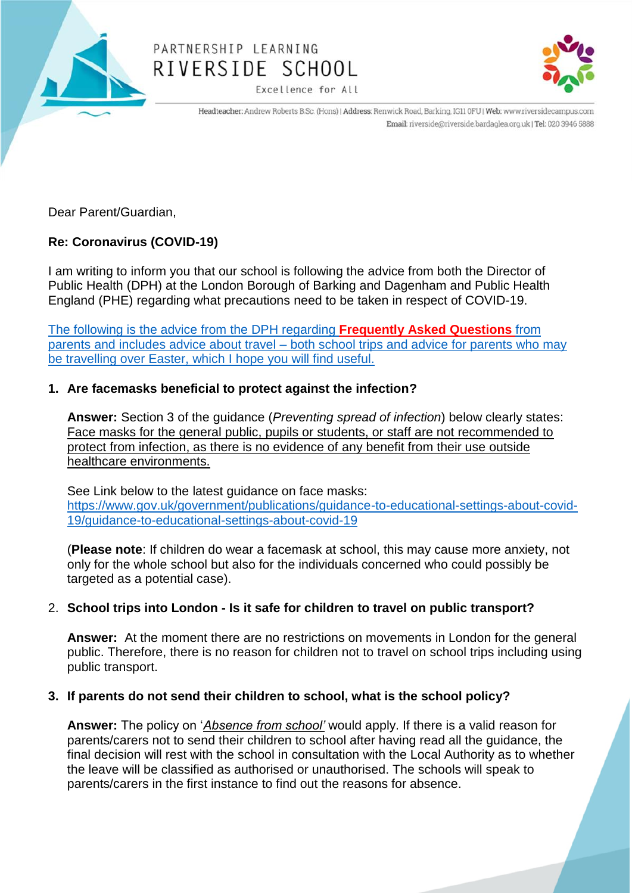

# PARTNERSHIP LEARNING RIVERSIDE SCHOOL

Excellence for All



Headteacher: Andrew Roberts B.Sc. (Hons) | Address: Renwick Road, Barking, IG11 0FU | Web: www.riversidecampus.com Email: riverside@riverside.bardaglea.org.uk | Tel: 020 3946 5888

Dear Parent/Guardian,

## **Re: Coronavirus (COVID-19)**

I am writing to inform you that our school is following the advice from both the Director of Public Health (DPH) at the London Borough of Barking and Dagenham and Public Health England (PHE) regarding what precautions need to be taken in respect of COVID-19.

The following is the advice from the DPH regarding **Frequently Asked Questions** from parents and includes advice about travel – both school trips and advice for parents who may be travelling over Easter, which I hope you will find useful.

### **1. Are facemasks beneficial to protect against the infection?**

**Answer:** Section 3 of the guidance (*Preventing spread of infection*) below clearly states: Face masks for the general public, pupils or students, or staff are not recommended to protect from infection, as there is no evidence of any benefit from their use outside healthcare environments.

See Link below to the latest guidance on face masks: [https://www.gov.uk/government/publications/guidance-to-educational-settings-about-covid-](https://www.gov.uk/government/publications/guidance-to-educational-settings-about-covid-19/guidance-to-educational-settings-about-covid-19)[19/guidance-to-educational-settings-about-covid-19](https://www.gov.uk/government/publications/guidance-to-educational-settings-about-covid-19/guidance-to-educational-settings-about-covid-19)

(**Please note**: If children do wear a facemask at school, this may cause more anxiety, not only for the whole school but also for the individuals concerned who could possibly be targeted as a potential case).

#### 2. **School trips into London - Is it safe for children to travel on public transport?**

**Answer:** At the moment there are no restrictions on movements in London for the general public. Therefore, there is no reason for children not to travel on school trips including using public transport.

#### **3. If parents do not send their children to school, what is the school policy?**

**Answer:** The policy on '*Absence from school'* would apply. If there is a valid reason for parents/carers not to send their children to school after having read all the guidance, the final decision will rest with the school in consultation with the Local Authority as to whether the leave will be classified as authorised or unauthorised. The schools will speak to parents/carers in the first instance to find out the reasons for absence.